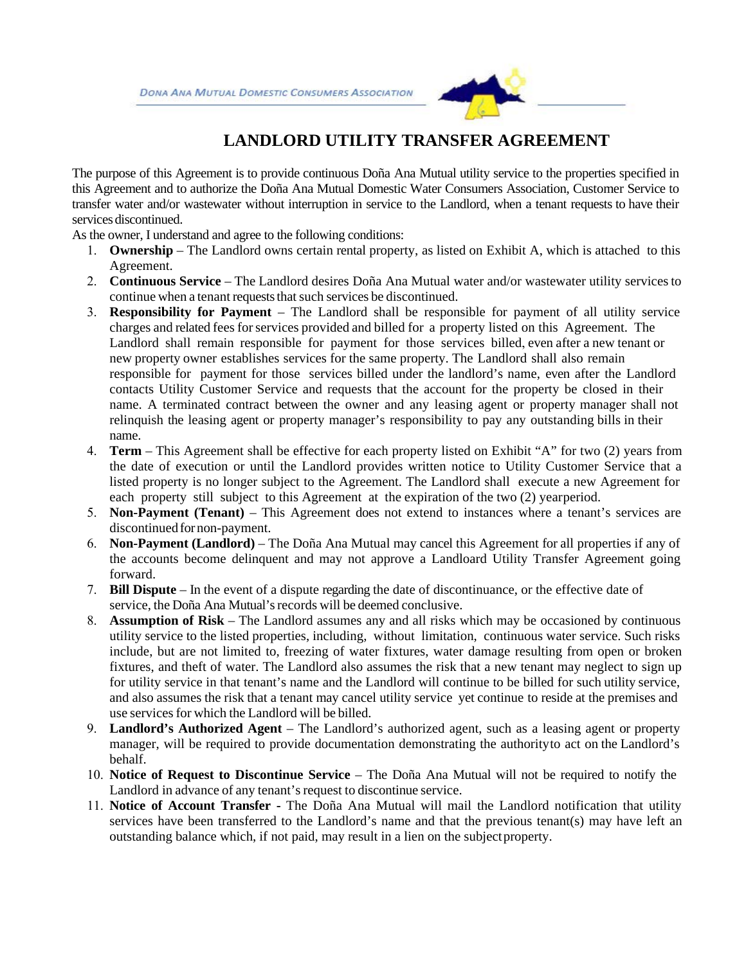

## **LANDLORD UTILITY TRANSFER AGREEMENT**

The purpose of this Agreement is to provide continuous Doña Ana Mutual utility service to the properties specified in this Agreement and to authorize the Doña Ana Mutual Domestic Water Consumers Association, Customer Service to transfer water and/or wastewater without interruption in service to the Landlord, when a tenant requests to have their services discontinued.

As the owner, I understand and agree to the following conditions:

- 1. **Ownership** The Landlord owns certain rental property, as listed on Exhibit A, which is attached to this Agreement.
- 2. **Continuous Service** The Landlord desires Doña Ana Mutual water and/or wastewater utility servicesto continue when a tenant requests that such services be discontinued.
- 3. **Responsibility for Payment**  The Landlord shall be responsible for payment of all utility service charges and related fees for services provided and billed for a property listed on this Agreement. The Landlord shall remain responsible for payment for those services billed, even after a new tenant or new property owner establishes services for the same property. The Landlord shall also remain responsible for payment for those services billed under the landlord's name, even after the Landlord contacts Utility Customer Service and requests that the account for the property be closed in their name. A terminated contract between the owner and any leasing agent or property manager shall not relinquish the leasing agent or property manager's responsibility to pay any outstanding bills in their name.
- 4. **Term** This Agreement shall be effective for each property listed on Exhibit "A" for two (2) years from the date of execution or until the Landlord provides written notice to Utility Customer Service that a listed property is no longer subject to the Agreement. The Landlord shall execute a new Agreement for each property still subject to this Agreement at the expiration of the two (2) yearperiod.
- 5. **Non-Payment (Tenant)**  This Agreement does not extend to instances where a tenant's services are discontinued fornon-payment.
- 6. **Non-Payment (Landlord)** The Doña Ana Mutual may cancel this Agreement for all properties if any of the accounts become delinquent and may not approve a Landloard Utility Transfer Agreement going forward.
- 7. **Bill Dispute** In the event of a dispute regarding the date of discontinuance, or the effective date of service, the Doña Ana Mutual's records will be deemed conclusive.
- 8. **Assumption of Risk** The Landlord assumes any and all risks which may be occasioned by continuous utility service to the listed properties, including, without limitation, continuous water service. Such risks include, but are not limited to, freezing of water fixtures, water damage resulting from open or broken fixtures, and theft of water. The Landlord also assumes the risk that a new tenant may neglect to sign up for utility service in that tenant's name and the Landlord will continue to be billed for such utility service, and also assumes the risk that a tenant may cancel utility service yet continue to reside at the premises and use services for which the Landlord will be billed.
- 9. **Landlord's Authorized Agent** The Landlord's authorized agent, such as a leasing agent or property manager, will be required to provide documentation demonstrating the authority to act on the Landlord's behalf.
- 10. **Notice of Request to Discontinue Service** The Doña Ana Mutual will not be required to notify the Landlord in advance of any tenant's request to discontinue service.
- 11. **Notice of Account Transfer** The Doña Ana Mutual will mail the Landlord notification that utility services have been transferred to the Landlord's name and that the previous tenant(s) may have left an outstanding balance which, if not paid, may result in a lien on the subject property.